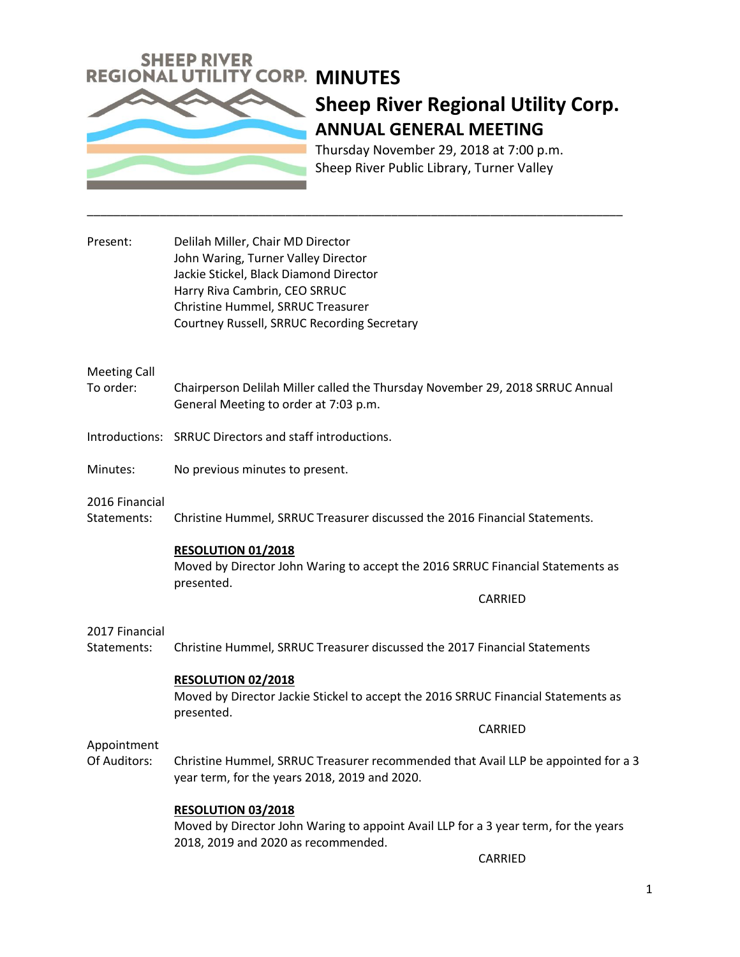

# **Sheep River Regional Utility Corp. ANNUAL GENERAL MEETING**

Thursday November 29, 2018 at 7:00 p.m. Sheep River Public Library, Turner Valley

| Present: | Delilah Miller, Chair MD Director           |
|----------|---------------------------------------------|
|          | John Waring, Turner Valley Director         |
|          | Jackie Stickel, Black Diamond Director      |
|          | Harry Riva Cambrin, CEO SRRUC               |
|          | Christine Hummel, SRRUC Treasurer           |
|          | Courtney Russell, SRRUC Recording Secretary |

#### Meeting Call

To order: Chairperson Delilah Miller called the Thursday November 29, 2018 SRRUC Annual General Meeting to order at 7:03 p.m.

\_\_\_\_\_\_\_\_\_\_\_\_\_\_\_\_\_\_\_\_\_\_\_\_\_\_\_\_\_\_\_\_\_\_\_\_\_\_\_\_\_\_\_\_\_\_\_\_\_\_\_\_\_\_\_\_\_\_\_\_\_\_\_\_\_\_\_\_\_\_\_\_\_\_\_\_\_\_\_\_\_

Introductions: SRRUC Directors and staff introductions.

Minutes: No previous minutes to present.

2016 Financial

Statements: Christine Hummel, SRRUC Treasurer discussed the 2016 Financial Statements.

#### **RESOLUTION 01/2018**

Moved by Director John Waring to accept the 2016 SRRUC Financial Statements as presented.

CARRIED

CARRIED

#### 2017 Financial

Statements: Christine Hummel, SRRUC Treasurer discussed the 2017 Financial Statements

#### **RESOLUTION 02/2018**

Moved by Director Jackie Stickel to accept the 2016 SRRUC Financial Statements as presented.

#### Appointment

Of Auditors: Christine Hummel, SRRUC Treasurer recommended that Avail LLP be appointed for a 3 year term, for the years 2018, 2019 and 2020.

### **RESOLUTION 03/2018**

Moved by Director John Waring to appoint Avail LLP for a 3 year term, for the years 2018, 2019 and 2020 as recommended.

CARRIED